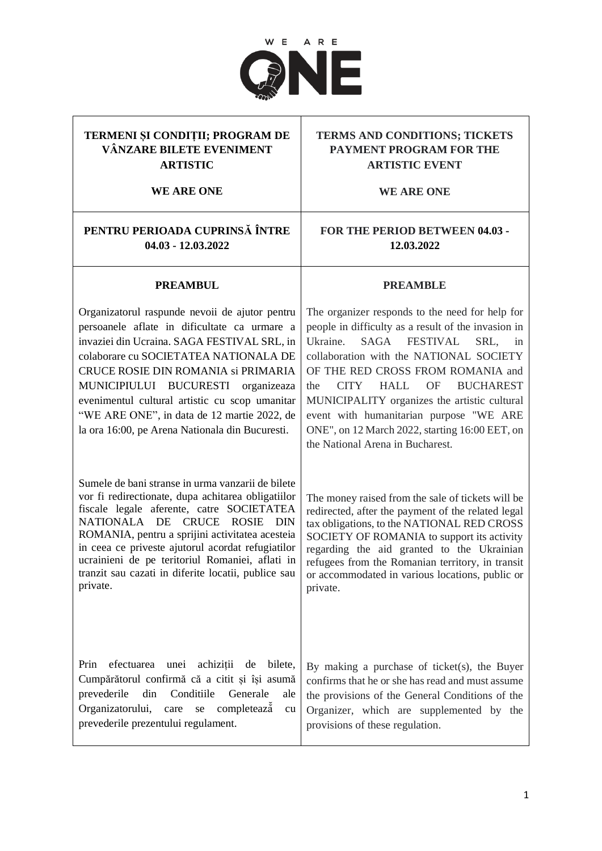

### **TERMENI ȘI CONDIȚII; PROGRAM DE VÂNZARE BILETE EVENIMENT ARTISTIC**

**WE ARE ONE**

# **PENTRU PERIOADA CUPRINSĂ ÎNTRE FOR THE PERIOD BETWEEN 04.03 -**

**04.03 - 12.03.2022**

## **TERMS AND CONDITIONS; TICKETS PAYMENT PROGRAM FOR THE ARTISTIC EVENT**

**WE ARE ONE**

# **12.03.2022**

**PREAMBLE**

#### **PREAMBUL**

Organizatorul raspunde nevoii de ajutor pentru persoanele aflate in dificultate ca urmare a invaziei din Ucraina. SAGA FESTIVAL SRL, in colaborare cu SOCIETATEA NATIONALA DE CRUCE ROSIE DIN ROMANIA si PRIMARIA MUNICIPIULUI BUCURESTI organizeaza evenimentul cultural artistic cu scop umanitar "WE ARE ONE", in data de 12 martie 2022, de la ora 16:00, pe Arena Nationala din Bucuresti.

Sumele de bani stranse in urma vanzarii de bilete vor fi redirectionate, dupa achitarea obligatiilor fiscale legale aferente, catre SOCIETATEA NATIONALA DE CRUCE ROSIE DIN ROMANIA, pentru a sprijini activitatea acesteia in ceea ce priveste ajutorul acordat refugiatilor ucrainieni de pe teritoriul Romaniei, aflati in tranzit sau cazati in diferite locatii, publice sau private.

The organizer responds to the need for help for people in difficulty as a result of the invasion in Ukraine. SAGA FESTIVAL SRL, in collaboration with the NATIONAL SOCIETY OF THE RED CROSS FROM ROMANIA and the CITY HALL OF BUCHAREST MUNICIPALITY organizes the artistic cultural event with humanitarian purpose "WE ARE ONE", on 12 March 2022, starting 16:00 EET, on the National Arena in Bucharest.

The money raised from the sale of tickets will be redirected, after the payment of the related legal tax obligations, to the NATIONAL RED CROSS SOCIETY OF ROMANIA to support its activity regarding the aid granted to the Ukrainian refugees from the Romanian territory, in transit or accommodated in various locations, public or private.

Prin efectuarea unei achiziții de bilete, Cumpărătorul confirmă că a citit și își asumă prevederile din Conditiile Generale ale Organizatorului, care se completează̆ ̆̆ cu prevederile prezentului regulament.

By making a purchase of ticket(s), the Buyer confirms that he or she has read and must assume the provisions of the General Conditions of the Organizer, which are supplemented by the provisions of these regulation.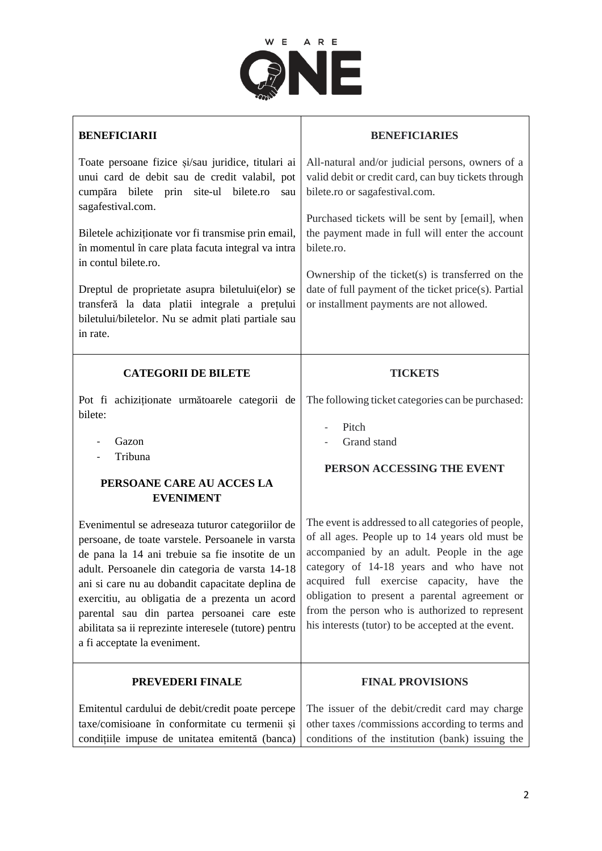

| <b>BENEFICIARII</b>                                                                                                                                                                                                                                                                                                                                                                                                                                       | <b>BENEFICIARIES</b>                                                                                                                                                                                                                                                                                                                                                                                  |
|-----------------------------------------------------------------------------------------------------------------------------------------------------------------------------------------------------------------------------------------------------------------------------------------------------------------------------------------------------------------------------------------------------------------------------------------------------------|-------------------------------------------------------------------------------------------------------------------------------------------------------------------------------------------------------------------------------------------------------------------------------------------------------------------------------------------------------------------------------------------------------|
| Toate persoane fizice și/sau juridice, titulari ai<br>unui card de debit sau de credit valabil, pot<br>cumpăra bilete prin site-ul bilete.ro<br>sau                                                                                                                                                                                                                                                                                                       | All-natural and/or judicial persons, owners of a<br>valid debit or credit card, can buy tickets through<br>bilete.ro or sagafestival.com.                                                                                                                                                                                                                                                             |
| sagafestival.com.<br>Biletele achiziționate vor fi transmise prin email,<br>în momentul în care plata facuta integral va intra<br>in contul bilete.ro.<br>Dreptul de proprietate asupra biletului(elor) se<br>transferă la data platii integrale a prețului<br>biletului/biletelor. Nu se admit plati partiale sau<br>in rate.                                                                                                                            | Purchased tickets will be sent by [email], when<br>the payment made in full will enter the account<br>bilete.ro.<br>Ownership of the ticket(s) is transferred on the<br>date of full payment of the ticket price(s). Partial<br>or installment payments are not allowed.                                                                                                                              |
| <b>CATEGORII DE BILETE</b>                                                                                                                                                                                                                                                                                                                                                                                                                                | <b>TICKETS</b>                                                                                                                                                                                                                                                                                                                                                                                        |
| Pot fi achiziționate următoarele categorii de<br>bilete:<br>Gazon<br>Tribuna<br>PERSOANE CARE AU ACCES LA<br><b>EVENIMENT</b>                                                                                                                                                                                                                                                                                                                             | The following ticket categories can be purchased:<br>Pitch<br>Grand stand<br>PERSON ACCESSING THE EVENT                                                                                                                                                                                                                                                                                               |
| Evenimentul se adreseaza tuturor categoriilor de<br>persoane, de toate varstele. Persoanele in varsta<br>de pana la 14 ani trebuie sa fie insotite de un<br>adult. Persoanele din categoria de varsta 14-18<br>ani si care nu au dobandit capacitate deplina de<br>exercitiu, au obligatia de a prezenta un acord<br>parental sau din partea persoanei care este<br>abilitata sa ii reprezinte interesele (tutore) pentru<br>a fi acceptate la eveniment. | The event is addressed to all categories of people,<br>of all ages. People up to 14 years old must be<br>accompanied by an adult. People in the age<br>category of 14-18 years and who have not<br>acquired full exercise capacity, have the<br>obligation to present a parental agreement or<br>from the person who is authorized to represent<br>his interests (tutor) to be accepted at the event. |
| PREVEDERI FINALE                                                                                                                                                                                                                                                                                                                                                                                                                                          | <b>FINAL PROVISIONS</b>                                                                                                                                                                                                                                                                                                                                                                               |
| Emitentul cardului de debit/credit poate percepe<br>taxe/comisioane în conformitate cu termenii și<br>condițiile impuse de unitatea emitentă (banca)                                                                                                                                                                                                                                                                                                      | The issuer of the debit/credit card may charge<br>other taxes /commissions according to terms and<br>conditions of the institution (bank) issuing the                                                                                                                                                                                                                                                 |